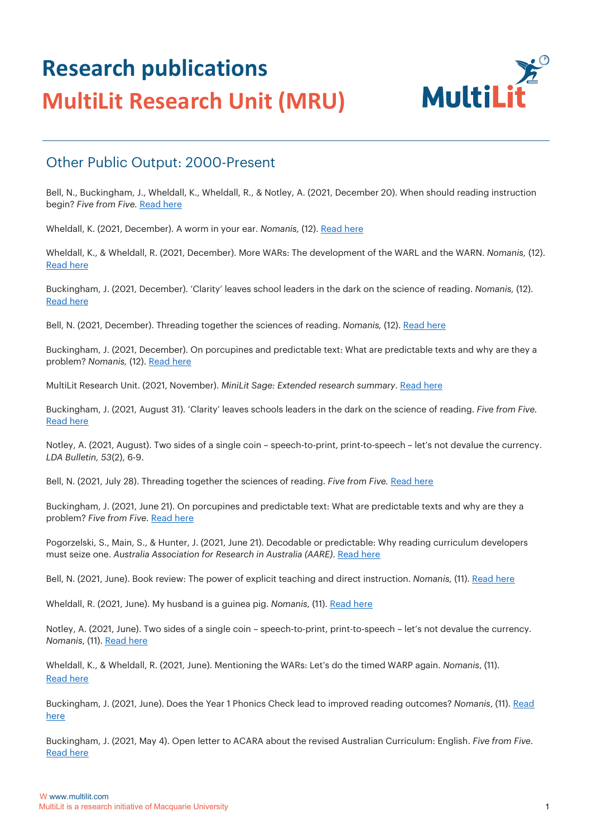

#### Other Public Output: 2000-Present

Bell, N., Buckingham, J., Wheldall, K., Wheldall, R., & Notley, A. (2021, December 20). When should reading instruction begin? *Five from Five.* [Read here](https://fivefromfive.com.au/blog/when-should-reading-instruction-begin/)

Wheldall, K. (2021, December). A worm in your ear. *Nomanis,* (12). [Read here](https://www.nomanis.com.au/single-post/a-worm-in-your-ear)

Wheldall, K., & Wheldall, R. (2021, December). More WARs: The development of the WARL and the WARN. *Nomanis,* (12). [Read here](https://www.nomanis.com.au/single-post/more-wars-the-development-of-the-warl-and-the-warn)

Buckingham, J. (2021, December). 'Clarity' leaves school leaders in the dark on the science of reading. *Nomanis,* (12). [Read here](https://www.nomanis.com.au/single-post/clarity-leaves-school-leaders-in-the-dark-on-the-science-of-reading)

Bell, N. (2021, December). Threading together the sciences of reading. *Nomanis*, (12)[. Read here](https://www.nomanis.com.au/single-post/threading-together-the-sciences-of-reading)

Buckingham, J. (2021, December). On porcupines and predictable text: What are predictable texts and why are they a problem? *Nomanis*, (12)[. Read here](https://www.nomanis.com.au/single-post/on-porcupines-and-predictable-text-what-are-predictable-texts-and-why-are-they-a-problem)

MultiLit Research Unit. (2021, November). *MiniLit Sage: Extended research summary*[. Read here](https://multilit-ecomm-media.s3.ap-southeast-2.amazonaws.com/wp-content/uploads/2021/11/02103850/MiniLit-Sage_Extended-Research-Summary.pdf)

Buckingham, J. (2021, August 31). 'Clarity' leaves schools leaders in the dark on the science of reading. *Five from Five.* [Read here](https://fivefromfive.com.au/blog/clarity-leaves-schools-leaders-in-the-dark-on-the-science-of-reading/)

Notley, A. (2021, August). Two sides of a single coin – speech-to-print, print-to-speech – let's not devalue the currency. *LDA Bulletin, 53*(2), 6-9.

Bell, N. (2021, July 28). Threading together the sciences of reading. Five from Five. [Read here](https://fivefromfive.com.au/blog/threadingtogetherthesciencesofreading/)

Buckingham, J. (2021, June 21). On porcupines and predictable text: What are predictable texts and why are they a problem? *Five from Five*. [Read here](https://fivefromfive.com.au/blog/whatarepredictabletexts/)

Pogorzelski, S., Main, S., & Hunter, J. (2021, June 21). Decodable or predictable: Why reading curriculum developers must seize one. *Australia Association for Research in Australia (AARE)*. [Read here](https://www.aare.edu.au/blog/?p=9708)

Bell, N. (2021, June). Book review: The power of explicit teaching and direct instruction. *Nomanis*, (11). [Read here](https://www.nomanis.com.au/single-post/book-review-the-power-of-explicit-teaching-and-direct-instruction)

Wheldall, R. (2021, June). My husband is a guinea pig. *Nomanis*, (11). [Read here](https://www.nomanis.com.au/single-post/my-husband-is-a-guinea-pig)

Notley, A. (2021, June). Two sides of a single coin – speech-to-print, print-to-speech – let's not devalue the currency. *Nomanis*, (11). [Read here](https://www.nomanis.com.au/single-post/two-sides-of-a-single-coin-speech-to-print-print-to-speech-let-s-not-devalue-the-currency) 

Wheldall, K., & Wheldall, R. (2021, June). Mentioning the WARs: Let's do the timed WARP again. *Nomanis*, (11). [Read here](https://www.nomanis.com.au/single-post/mentioning-the-wars-let-s-do-the-timed-warp-again)

Buckingham, J. (2021, June). Does the Year 1 Phonics Check lead to improved reading outcomes? *Nomanis*, (11). [Read](https://www.nomanis.com.au/single-post/does-the-year-1-phonics-check-lead-to-improved-reading-outcomes)  [here](https://www.nomanis.com.au/single-post/does-the-year-1-phonics-check-lead-to-improved-reading-outcomes)

Buckingham, J. (2021, May 4). Open letter to ACARA about the revised Australian Curriculum: English. *Five from Five*. [Read here](https://fivefromfive.com.au/blog/open-letter-to-acara/)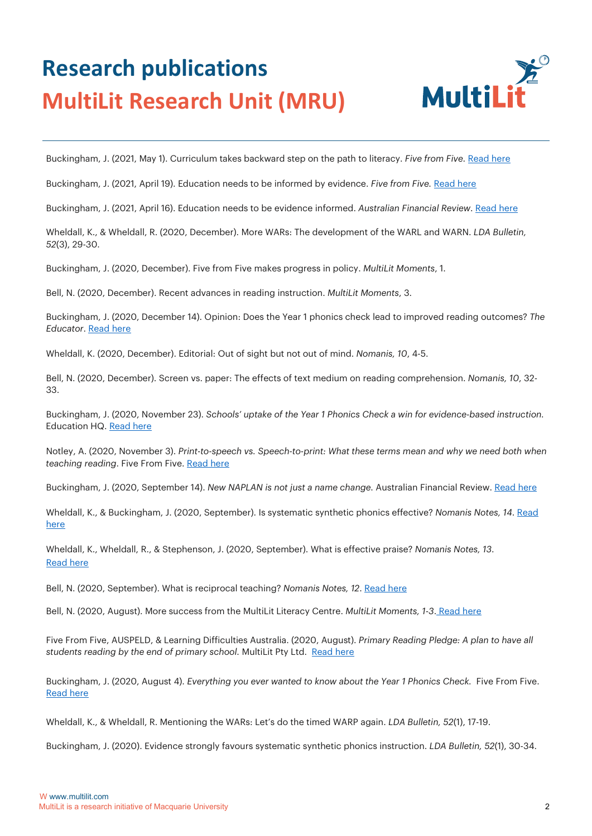

Buckingham, J. (2021, May 1). Curriculum takes backward step on the path to literacy. *Five from Five*[. Read here](https://fivefromfive.com.au/uncategorized/curriculum-takes-backward-step-on-the-path-to-literacy/)

Buckingham, J. (2021, April 19). Education needs to be informed by evidence. *Five from Five.* [Read here](https://fivefromfive.com.au/blog/innovation/)

Buckingham, J. (2021, April 16). Education needs to be evidence informed. *Australian Financial Review*. [Read here](https://www.afr.com/work-and-careers/education/education-needs-to-be-evidence-informed-20210412-p57iku)

Wheldall, K., & Wheldall, R. (2020, December). More WARs: The development of the WARL and WARN. *LDA Bulletin, 52*(3), 29-30.

Buckingham, J. (2020, December). Five from Five makes progress in policy. *MultiLit Moments*, 1.

Bell, N. (2020, December). Recent advances in reading instruction. *MultiLit Moments*, 3.

Buckingham, J. (2020, December 14). Opinion: Does the Year 1 phonics check lead to improved reading outcomes? *The Educator*. [Read here](https://www.theeducatoronline.com/k12/news/opinion-does-the-year-1-phonics-check-lead-to-improved-reading-outcomes/274759)

Wheldall, K. (2020, December). Editorial: Out of sight but not out of mind. *Nomanis, 10*, 4-5.

Bell, N. (2020, December). Screen vs. paper: The effects of text medium on reading comprehension. *Nomanis, 10*, 32- 33.

Buckingham, J. (2020, November 23). *Schools' uptake of the Year 1 Phonics Check a win for evidence-based instruction.* Education H[Q. Read here](https://educationhq.com/news/schools-uptake-of-the-year-1-phonics-check-a-win-for-evidence-based-instruction-87148/)

Notley, A. (2020, November 3). *Print-to-speech vs. Speech-to-print: What these terms mean and why we need both when teaching reading*. Five From Five. [Read here](https://fivefromfive.com.au/blog/)

Buckingham, J. (2020, September 14). *New NAPLAN is not just a name change.* Australian Financial Review[. Read here](https://www.afr.com/work-and-careers/education/new-naplan-is-not-just-a-name-change-20200910-p55ubt)

Wheldall, K., & Buckingham, J. (2020, September). Is systematic synthetic phonics effective? *Nomanis Notes, 14*. [Read](https://57ebb165-ef00-4738-9d6e-3933f283bdb1.filesusr.com/ugd/81f204_f8c0bc6c48f84da59fddb28e9b391282.pdf)  [here](https://57ebb165-ef00-4738-9d6e-3933f283bdb1.filesusr.com/ugd/81f204_f8c0bc6c48f84da59fddb28e9b391282.pdf)

Wheldall, K., Wheldall, R., & Stephenson, J. (2020, September). What is effective praise? *Nomanis Notes, 13*. [Read here](https://57ebb165-ef00-4738-9d6e-3933f283bdb1.filesusr.com/ugd/81f204_21ed6384d01b4d209d2979b02bf61d47.pdf)

[Bell, N. \(2020, September\). What is reciprocal teaching?](https://57ebb165-ef00-4738-9d6e-3933f283bdb1.filesusr.com/ugd/81f204_f0add441f01044bfb6228e55b16d96c6.pdf) *[Nomanis Notes, 12](https://57ebb165-ef00-4738-9d6e-3933f283bdb1.filesusr.com/ugd/81f204_f0add441f01044bfb6228e55b16d96c6.pdf)*. [Read here](https://57ebb165ef00-4738-9d6e-3933f283bdb1.filesusr.com/ugd/81f204_f0add441f01044bfb6228e55b16d96c6.pdf)

[Bell, N. \(2020, August\). More success from the MultiLit](https://multilit-ecomm-media.s3.ap-southeast-2.amazonaws.com/wp-content/uploads/2021/01/27054004/MM_AUG20_FA-WEB.pdf) Literacy Centre. *[MultiLit Moments, 1-3](https://multilit-ecomm-media.s3.ap-southeast-2.amazonaws.com/wp-content/uploads/2021/01/27054004/MM_AUG20_FA-WEB.pdf)*. [Read here](https://multilitecommmedia.s3.ap-southeast-2.amazonaws.com/wp-content/uploads/2021/01/27054004/MM_AUG20_FAWEB.pdf)

Five From Five, AUSPELD, & Learning Difficulties Australia. (2020, August). *Primary Reading Pledge: A plan to have all students reading by the end of primary school.* MultiLit Pty Ltd. [Read here](https://fivefromfive.com.au/wp-content/uploads/2020/08/PRIMARY-READING-PLEDGE_August2020Final.pdf)

Buckingham, J. (2020, August 4). *Everything you ever wanted to know about the Year [1 Phonics Check.](https://fivefromfive.com.au/uncategorized/everything-you-ever-wanted-to-know-about-the-year-1-phonics-check/)* [Five](https://fivefromfive.com.au/uncategorized/everything-you-ever-wanted-to-know-about-the-year-1-phonics-check/) [From](https://fivefromfive.com.au/uncategorized/everything-you-ever-wanted-to-know-about-the-year-1-phonics-check/) [Five.](https://fivefromfive.com.au/uncategorized/everything-you-ever-wanted-to-know-about-the-year-1-phonics-check/)  [Read here](https://fivefromfive.com.au/uncategorized/everything-you-ever-wanted-toknow-about-the-year-1-phonics-check/)

Wheldall, K., & Wheldall, R. Mentioning the WARs: Let's do the timed WARP again. *LDA Bulletin, 52*(1), 17-19.

Buckingham, J. (2020). Evidence strongly favours systematic synthetic phonics instruction. *LDA Bulletin, 52*(1), 30-34.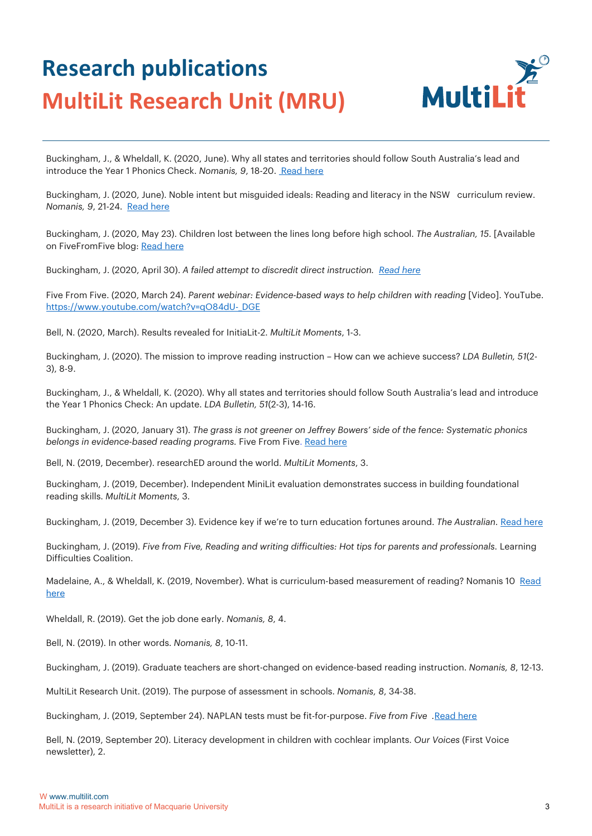

Buckingham, J., & Wheldall, K. (2020, June). Why all states and territories should follow South Australia's lead and introduce the Year 1 Phonics Check. *Nomanis*, 9, 18-20[. Read here](https://www.nomanis.com.au/singlepost/2020/06/05/issue-9-june-2020)

Buckingham, J. (2020, June). Noble intent but misguided ideals: Reading and literacy in the NSW curriculum review. *Nomanis, 9*, 21-24. [Read here](https://docs.wixstatic.com/ugd/81f204_86c7b1f2c432489a97afa48977cd2565.pdf)

Buckingham, J. (2020, May 23). Children lost between the lines long before high school. *The Australian, 15*. [\[Available](https://fivefromfive.com.au/blog/children-lost-between-the-lines-long-before-high-school)  [on FiveFromFive blog:](https://fivefromfive.com.au/blog/children-lost-between-the-lines-long-before-high-school) [Read here](https://fivefromfive.com.au/blog/children-lost-between-the-lines-long-beforehigh-school)

[Buckingham, J. \(2020, April 30\).](https://fivefromfive.com.au/blog/a-failed-attempt-to-discredit-direct-instruction) *[A failed attempt to discredit direct instruction. Read here](https://fivefromfive.com.au/blog/a-failed-attempt-to-discredit-direct-instruction)*

Five From Five. (2020, March 24). *Parent webinar: Evidence-based ways to help children with reading* [Video]. YouTube. https://www.youtube.com/watch?v=qO84dU-DGE

Bell, N. (2020, March). Results revealed for InitiaLit-2. *MultiLit Moments*, 1-3.

Buckingham, J. (2020). The mission to improve reading instruction – How can we achieve success? *LDA Bulletin, 51*(2- 3), 8-9.

Buckingham, J., & Wheldall, K. (2020). Why all states and territories should follow South Australia's lead and introduce the Year 1 Phonics Check: An update. *LDA Bulletin, 51*(2-3), 14-16.

Buckingham, J. (2020, January 31). *The grass is not greener on Jeffrey Bowers' side of the fence: Systematic [phonics](https://fivefromfive.com.au/uncategorized/the-grass-is-not-greener-on-jeffrey-bowers-side-of-the-fence-systematic-phonics-belongs-in-evidence-based-reading-programs/)  [belongs in evidence-based](https://fivefromfive.com.au/uncategorized/the-grass-is-not-greener-on-jeffrey-bowers-side-of-the-fence-systematic-phonics-belongs-in-evidence-based-reading-programs/) reading programs.* [Five From Five.](https://fivefromfive.com.au/uncategorized/the-grass-is-not-greener-on-jeffrey-bowers-side-of-the-fence-systematic-phonics-belongs-in-evidence-based-reading-programs/) [Read here](https://fivefromfive.com.au/uncategorized/the-grass-is-not-greener-on-jeffrey-bowers-side-of-the-fence-systematic-phonics-belongs-in-evidence-based-reading-programs/)

Bell, N. (2019, December). researchED around the world. *MultiLit Moments*, 3.

Buckingham, J. (2019, December). Independent MiniLit evaluation demonstrates success in building foundational reading skills. *MultiLit Moments*, 3.

Buckingham, J. (2019, December 3). Evidence key if we're to turn education fortunes around. The Australian. [Read here](https://fivefromfive.com.au/uncategorized/pisa2018/)

Buckingham, J. (2019). *Five from Five, Reading and writing difficulties: Hot tips for parents and professionals.* Learning Difficulties Coalition.

Madelaine, A., & Wheldall, K. (2019, November). What is curriculum-based measurement of reading? Nomanis 10 Read [here](https://57ebb165-ef00-4738-9d6e-3933f283bdb1.filesusr.com/ugd/81f204_9aa4019d24664561a6a63ef4c0858f9b.pdf)

Wheldall, R. (2019). Get the job done early. *Nomanis, 8*, 4.

Bell, N. (2019). In other words. *Nomanis, 8*, 10-11.

Buckingham, J. (2019). Graduate teachers are short-changed on evidence-based reading instruction. *Nomanis, 8*, 12-13.

MultiLit Research Unit. (2019). The purpose of assessment in schools. *Nomanis, 8*, 34-38.

[Buckingham, J. \(2019, September 24\). NAPLAN tests must be fit-for-purpose.](https://fivefromfive.com.au/blog/naplan-tests-must-be-fit-for-purpose/) *[Five from Five .](https://fivefromfive.com.au/blog/naplan-tests-must-be-fit-for-purpose/)*[Read here](https://fivefromfive.com.au/blog/naplan-tests-must-be-fit-for-purpose/)

Bell, N. (2019, September 20). Literacy development in children with cochlear implants. *Our Voices* (First Voice newsletter), 2.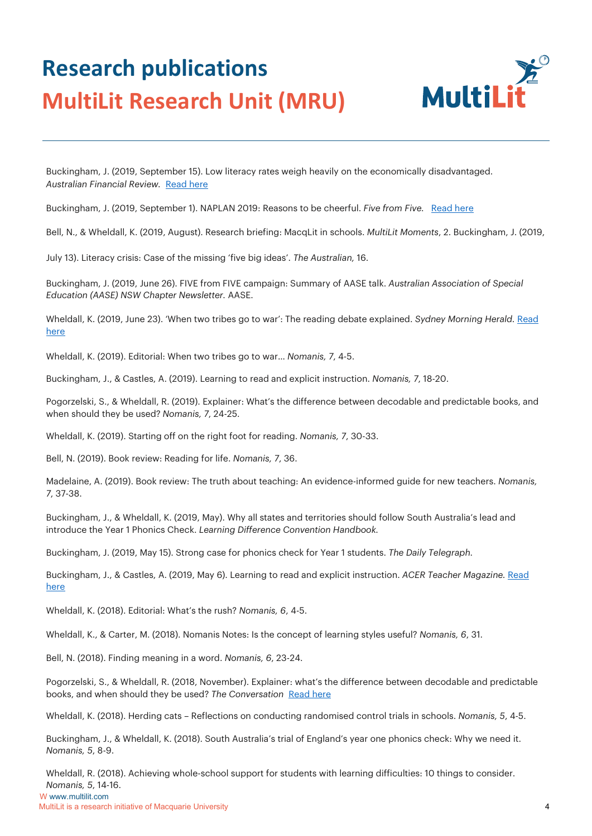

Buckingham, J. (2019, September 15). Low literacy rates weigh heavily on the economically disadvantaged. *[Australian Financial Review.](https://www.afr.com/policy/health-and-education/low-literacy-rates-weigh-heavily-on-the-economically-disadvantaged-20190914-p52rbb)* [Read here](https://www.afr.com/policy/health-and-education/low-literacy-rates-weigh-heavily-on-the-economically-disadvantaged-20190914-p52rbb) 

[Buckingham, J. \(2019, September 1\). NAPLAN 2019: Reasons to be cheerful.](https://www.afr.com/policy/health-and-education/low-literacy-rates-weigh-heavily-on-the-economically-disadvantaged-20190914-p52rbb) *Five from Five.* [Read here](https://fivefromfive.com.au/blog/naplan-2019-reasons-to-be-cheerful/)

Bell, N., & Wheldall, K. (2019, August). Research briefing: MacqLit in schools. *MultiLit Moments*, 2. Buckingham, J. (2019,

July 13). Literacy crisis: Case of the missing 'five big ideas'. *The Australian,* 16.

Buckingham, J. (2019, June 26). FIVE from FIVE campaign: Summary of AASE talk. *Australian Association of Special Education (AASE) NSW Chapter Newsletter.* AASE.

Wheldall, K. (2019, June 23). 'When two tribes go to war': The reading debate explained. *Sydney Morning Herald. Read* [here](https://www.smh.com.au/education/when-two-tribes-go-to-war-the-reading-debate-explained-20190619-p51z6d.html)

Wheldall, K. (2019). Editorial: When two tribes go to war… *Nomanis, 7*, 4-5.

Buckingham, J., & Castles, A. (2019). Learning to read and explicit instruction. *Nomanis, 7*, 18-20.

Pogorzelski, S., & Wheldall, R. (2019). Explainer: What's the difference between decodable and predictable books, and when should they be used? *Nomanis, 7*, 24-25.

Wheldall, K. (2019). Starting off on the right foot for reading. *Nomanis, 7*, 30-33.

Bell, N. (2019). Book review: Reading for life. *Nomanis, 7*, 36.

Madelaine, A. (2019). Book review: The truth about teaching: An evidence-informed guide for new teachers. *Nomanis, 7*, 37-38.

Buckingham, J., & Wheldall, K. (2019, May). Why all states and territories should follow South Australia's lead and introduce the Year 1 Phonics Check. *Learning Difference Convention Handbook.*

[Buckingham, J. \(2019, May 15\). Strong case for phonics check for Year 1 students.](https://www.smh.com.au/education/when-two-tribes-go-to-war-the-reading-debate-explained-20190619-p51z6d.html) *[The Daily Telegraph.](https://www.smh.com.au/education/when-two-tribes-go-to-war-the-reading-debate-explained-20190619-p51z6d.html)*

Buckingham, J., & Castles, A. (2019, May 6). Learning to read and explicit instruction. *ACER Teacher Magazine*. Read [here](https://www.teachermagazine.com.au/articles/learning-to-read-and-explicit-teaching)

Wheldall, K. (2018). Editorial: What's the rush? *Nomanis, 6*, 4-5.

Wheldall, K., & Carter, M. (2018). Nomanis Notes: Is the concept of learning styles useful? *Nomanis, 6*, 31.

Bell, N. (2018). Finding meaning in a word. *Nomanis, 6*, 23-24.

Pogorzelski, S., & Wheldall, R. (2018, November). Explainer: what's the difference between decodable and predictable books, and when should they be used? *The Conversation* [Read here](https://theconversation.com/explainer-whatsthe-difference-between-decodable-and-predictable-books-and-when-should-they-be-used-106531)

Wheldall, K. (2018). Herding cats – Reflections on conducting randomised control trials in schools. *Nomanis, 5*, 4-5.

Buckingham, J., & Wheldall, K. (2018). South Australia's trial of England's year one phonics check: Why we need it. *Nomanis, 5*, 8-9.

Wheldall, R. (2018). Achieving whole-school support for students with learning difficulties: 10 things to consider. *Nomanis, 5*, 14-16.

W www.multilit.com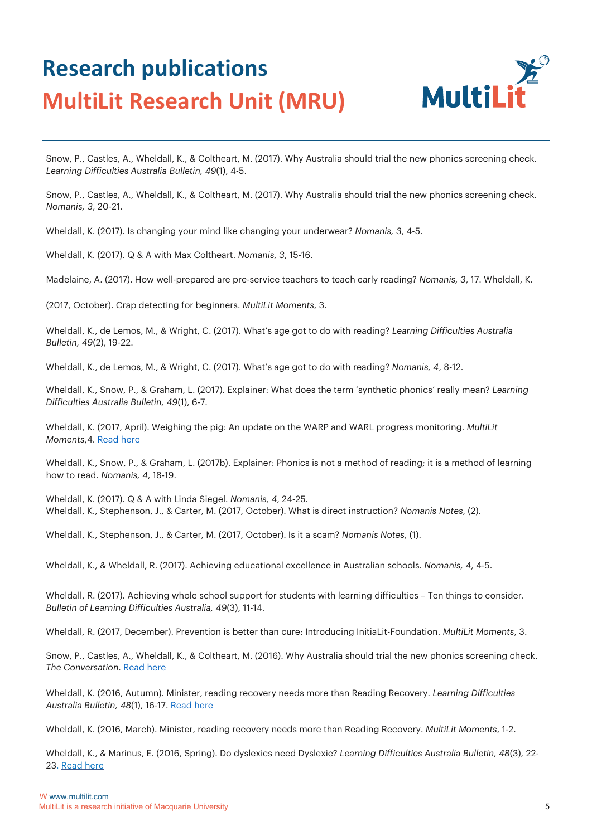

Snow, P., Castles, A., Wheldall, K., & Coltheart, M. (2017). Why Australia should trial the new phonics screening check. *Learning Difficulties Australia Bulletin, 49*(1), 4-5.

Snow, P., Castles, A., Wheldall, K., & Coltheart, M. (2017). Why Australia should trial the new phonics screening check. *Nomanis, 3*, 20-21.

Wheldall, K. (2017). Is changing your mind like changing your underwear? *Nomanis, 3*, 4-5.

Wheldall, K. (2017). Q & A with Max Coltheart. *Nomanis, 3*, 15-16.

Madelaine, A. (2017). How well-prepared are pre-service teachers to teach early reading? *Nomanis, 3*, 17. Wheldall, K.

(2017, October). Crap detecting for beginners. *MultiLit Moments*, 3.

Wheldall, K., de Lemos, M., & Wright, C. (2017). What's age got to do with reading? *Learning Difficulties Australia Bulletin, 49*(2), 19-22.

Wheldall, K., de Lemos, M., & Wright, C. (2017). What's age got to do with reading? *Nomanis, 4*, 8-12.

Wheldall, K., Snow, P., & Graham, L. (2017). Explainer: What does the term 'synthetic phonics' really mean? *Learning Difficulties Australia Bulletin, 49*(1), 6-7.

Wheldall, K. (2017, April). Weighing the pig: An update on the WARP and WARL progress monitoring. *MultiLit [Moments](https://multilit-ecomm-media.s3.ap-southeast-2.amazonaws.com/wp-content/%0Auploads/2019/09/18005116/MM_APR17_WEB.pdf)*[,4.](https://multilit-ecomm-media.s3.ap-southeast-2.amazonaws.com/wp-content/%0Auploads/2019/09/18005116/MM_APR17_WEB.pdf) [Read here](https://multilit-ecomm-media.s3.ap-southeast-2.amazonaws.com/wp-content/uploads/2019/09/18005116/MM_APR17_WEB.pdf)

Wheldall, K., Snow, P., & Graham, L. (2017b). Explainer: Phonics is not a method of reading; it is a method of learning how to read. *Nomanis, 4*, 18-19.

Wheldall, K. (2017). Q & A with Linda Siegel. *Nomanis, 4*, 24-25. Wheldall, K., Stephenson, J., & Carter, M. (2017, October). What is direct instruction? *Nomanis Notes*, (2).

Wheldall, K., Stephenson, J., & Carter, M. (2017, October). Is it a scam? *Nomanis Notes*, (1).

Wheldall, K., & Wheldall, R. (2017). Achieving educational excellence in Australian schools. *Nomanis, 4*, 4-5.

Wheldall, R. (2017). Achieving whole school support for students with learning difficulties – Ten things to consider. *Bulletin of Learning Difficulties Australia, 49*(3), 11-14.

Wheldall, R. (2017, December). Prevention is better than cure: Introducing InitiaLit-Foundation. *MultiLit Moments*, 3.

Snow, P., Castles, A., Wheldall, K., & Coltheart, M. (2016). Why Australia should trial the new phoni[cs screening check.](https://theconversation.com/why-australia-should-trial-the-new-phonics-screening-check-69717) *[The Conversation](https://theconversation.com/why-australia-should-trial-the-new-phonics-screening-check-69717)*[.](https://theconversation.com/why-australia-should-trial-the-new-phonics-screening-check-69717) [Read here](https://theconversation.com/why-australia-should-trial-the-new-phonics-screening-check-69717)

Wheldall, K. (2016, Autumn). Minister, reading recovery needs more than Reading Recovery. *Learning Difficulties Australia Bulletin, 48*(1), 16-17. [Read here](https://www.ldaustralia.org/lda-publications.html)

Wheldall, K. (2016, March). Minister, reading recovery needs more than Reading Recovery. *MultiLit Moments*, 1-2.

Wheldall, K., & Marinus, E. (2016, Spring). Do dyslexics need Dyslexie? *Learning Difficulties Australia Bulletin, 48*(3), 22- 23[. Read here](https://www.ldaustralia.org/lda-publications.html)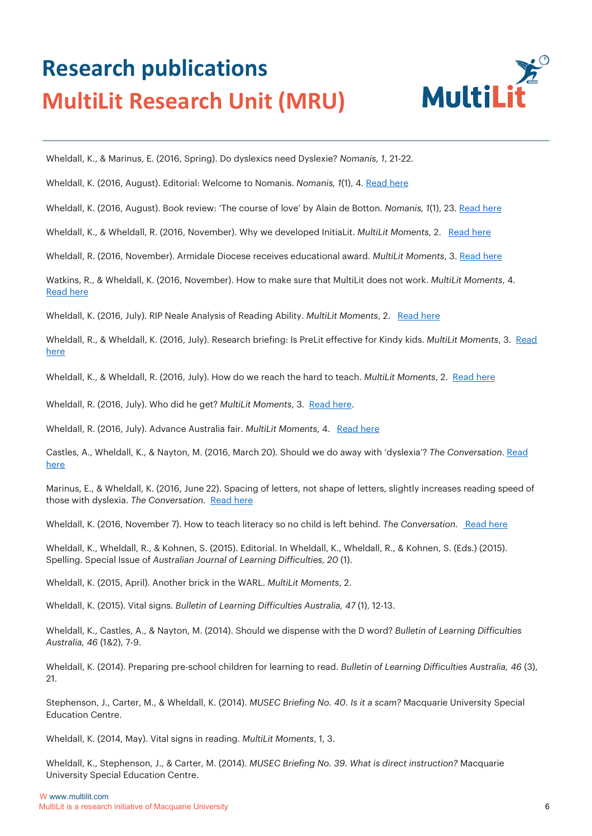

Wheldall, K., & Marinus, E. (2016, Spring). Do dyslexics need Dyslexie? *Nomanis, 1*, 21-22.

[Wheldall, K. \(2016, August\). Editorial: Welcome to Nomanis.](https://www.nomanis.com.au/single-post/2016/10/31/Nomanis-Welcome-to-our-first-edition) *[Nomanis, 1](https://www.nomanis.com.au/single-post/2016/10/31/Nomanis-Welcome-to-our-first-edition)*[\(1\), 4.](https://www.nomanis.com.au/single-post/2016/10/31/Nomanis-Welcome-to-our-first-edition) [Read here](https://www.nomanis.com.au/single-post/2016/10/31/nomanis-welcome-to-our-first-edition) 

Wheldall, K. (2016, August). Book review: 'The course of love' by Alain de Botton. *Nomanis, 1*(1), 23. [Read here](https://docs.wixstatic.com/ugd/81f204_4d0490b925af4b73bdb5f58ef6c360a0.pdf)

[Wheldall, K., & Wheldall, R. \(2016, November\). Why we developed InitiaLit.](https://multilit-ecomm-media.s3.ap-southeast-2.amazonaws.com/wp-content/uploads/2019/09/18005124/MultiLit_Moments_Nov_2016.pdf) *[MultiLit Moments](https://multilit-ecomm-media.s3.ap-southeast-2.amazonaws.com/wp-content/uploads/2019/09/18005124/MultiLit_Moments_Nov_2016.pdf)*[, 2.](https://multilit-ecomm-media.s3.ap-southeast-2.amazonaws.com/wp-content/uploads/2019/09/18005124/MultiLit_Moments_Nov_2016.pdf) [Read here](https://multilit-ecomm-media.s3.ap-southeast-2.amazonaws.com/wp-content/uploads/2019/09/18005124/MultiLit_Moments_Nov_2016.pdf)

[Wheldall, R. \(2016, November\). Armidale Diocese receives educational award.](https://multilit-ecomm-media.s3.ap-southeast-2.amazonaws.com/wp-content/uploads/2019/09/18005124/MultiLit_Moments_Nov_2016.pdf) *[MultiLit Moments](https://multilit-ecomm-media.s3.ap-southeast-2.amazonaws.com/wp-content/uploads/2019/09/18005124/MultiLit_Moments_Nov_2016.pdf)*[, 3.](https://multilit-ecomm-media.s3.ap-southeast-2.amazonaws.com/wp-content/uploads/2019/09/18005124/MultiLit_Moments_Nov_2016.pdf) [Read here](https://multilit-ecomm-media.s3.ap-southeast-2.amazonaws.com/wp-content/uploads/2019/09/18005124/MultiLit_Moments_Nov_2016.pdf)

Watkins, R., & Wheldall, K. (2016, November). How to make sure that MultiLit does not work. *MultiLit Moments*, 4. [Read here](https://multilit-ecomm-media.s3.ap-southeast-2.amazonaws.com/wp-content/uploads/2019/09/18005124/MultiLit_Moments_Nov_2016.pdf)

[Wheldall, K. \(2016, July\). RIP Neale Analysis of Reading Ability.](https://multilit-ecomm-media.s3.ap-southeast-2.amazonaws.com/wp-content/uploads/2019/09/18005112/MM_JUL16-WEB.pdf) *[MultiLit Moments](https://multilit-ecomm-media.s3.ap-southeast-2.amazonaws.com/wp-content/uploads/2019/09/18005112/MM_JUL16-WEB.pdf)*[, 2.](https://multilit-ecomm-media.s3.ap-southeast-2.amazonaws.com/wp-content/uploads/2019/09/18005112/MM_JUL16-WEB.pdf) [Read here](https://multilit-ecomm-media.s3.apsoutheast-2.amazonaws.com/wp-content/uploads/2019/09/18005112/MM_JUL16-WEB.pdf)

Wheldall, R., & Wheldall, K. (2016, July). Research briefing: Is PreLit effective for Kindy kids. *MultiLit Moments*, 3. [Read](https://multilit-ecomm-media.s3.ap-southeast-2.amazonaws.com/wp-content/uploads/2019/09/18005112/MM_JUL16-WEB.pdf)  [here](https://multilit-ecomm-media.s3.ap-southeast-2.amazonaws.com/wp-content/uploads/2019/09/18005112/MM_JUL16-WEB.pdf)

[Wheldall, K., & Wheldall, R. \(2016, July\). How do we reach the hard to teach.](https://multilit-ecomm-media.s3.ap-southeast-2.amazonaws.com/wp-content/uploads/2019/09/18005112/MM_JUL16-WEB.pdf) *[MultiLit Moments](https://multilit-ecomm-media.s3.ap-southeast-2.amazonaws.com/wp-content/uploads/2019/09/18005112/MM_JUL16-WEB.pdf)*[, 2.](https://multilit-ecomm-media.s3.ap-southeast-2.amazonaws.com/wp-content/uploads/2019/09/18005112/MM_JUL16-WEB.pdf) [Read here](https://multilit-ecommmedia.s3.ap-southeast-2.amazonaws.com/wp-content/uploads/2019/09/18005112/MM_JUL16-WEB.pdf)

[Wheldall, R. \(2016, July\). Who did he get?](https://multilit-ecomm-media.s3.ap-southeast-2.amazonaws.com/wp-content/uploads/2019/09/18005112/MM_JUL16-WEB.pdf) *[MultiLit Moments](https://multilit-ecomm-media.s3.ap-southeast-2.amazonaws.com/wp-content/uploads/2019/09/18005112/MM_JUL16-WEB.pdf)*, 3. [Read here.](https://multilit-ecommmedia.s3.ap-southeast-2.amazonaws.com/wp-content/uploads/2019/09/18005112/MM_JUL16-WEB.pdf)

[Wheldall, R. \(2016, July\). Advance Australia fair.](https://multilit-ecomm-media.s3.ap-southeast-2.amazonaws.com/wp-content/uploads/2019/09/18005112/MM_JUL16-WEB.pdf) *[MultiLit Moments](https://multilit-ecomm-media.s3.ap-southeast-2.amazonaws.com/wp-content/uploads/2019/09/18005112/MM_JUL16-WEB.pdf)*[, 4.](https://multilit-ecomm-media.s3.ap-southeast-2.amazonaws.com/wp-content/uploads/2019/09/18005112/MM_JUL16-WEB.pdf) [Read here](https://multilit-ecommmedia.s3.ap-southeast-2.amazonaws.com/wp-content/uploads/2019/09/18005112/MM_JUL16-WEB.pdf)

Castles, A., Wheldall, K., & Nayton, M. (2016, March 20). Should we do away with 'dyslexia'? *The Conversation*. [Read](https://theconversation.com/should-we-do-away-with-dyslexia-24027)  [here](https://theconversation.com/should-we-do-away-with-dyslexia-24027)

Marinus, E., & Wheldall, K. (2016, June 22). Spacing of letters, not shape of letter[s, slightly increases reading speed of](https://theconversation.com/spacing-of-letters-not-shape-of-letters-slightly-increases-reading-speed-of-those-with-dyslexia-59316)  [those with dyslexia.](https://theconversation.com/spacing-of-letters-not-shape-of-letters-slightly-increases-reading-speed-of-those-with-dyslexia-59316) *[The Conversation.](https://theconversation.com/spacing-of-letters-not-shape-of-letters-slightly-increases-reading-speed-of-those-with-dyslexia-59316)* [Read here](https://theconversation.com/spacing-of-letters-not-shape-of-letters-slightly-increases-reading-speed-of-those-with-dyslexia-59316)

[Wheldall, K. \(2016, November 7\). How to teach literacy so no child is left behind.](https://theconversation.com/how-to-teach-literacy-so-no-child-is-left-behind-4338) [The Conversation.](https://theconversation.com/how-to-teach-literacy-so-no-child-is-left-behind-4338) [Read here](https://theconversation.com/how-to-teach-literacy-so-no-child-is-left-behind-4338)

Wheldall, K., Wheldall, R., & Kohnen, S. (2015). Editorial. In Wheldall, K., Wheldall, R., & Kohnen, S. (Eds.) (2015). Spelling. Special Issue of *Australian Journal of Learning Difficulties, 20* (1).

Wheldall, K. (2015, April). Another brick in the WARL. *MultiLit Moments*, 2.

Wheldall, K. (2015). Vital signs. *Bulletin of Learning Difficulties Australia, 47* (1), 12-13.

Wheldall, K., Castles, A., & Nayton, M. (2014). Should we dispense with the D word? *Bulletin of Learning Difficulties Australia, 46* (1&2), 7-9.

Wheldall, K. (2014). Preparing pre-school children for learning to read. *Bulletin of Learning Difficulties Australia, 46* (3), 21.

Stephenson, J., Carter, M., & Wheldall, K. (2014). *MUSEC Briefing No. 40. Is it a scam?* Macquarie University Special Education Centre.

Wheldall, K. (2014, May). Vital signs in reading. *MultiLit Moments*, 1, 3.

Wheldall, K., Stephenson, J., & Carter, M. (2014). *MUSEC Briefing No. 39. What is direct instruction?* Macquarie University Special Education Centre.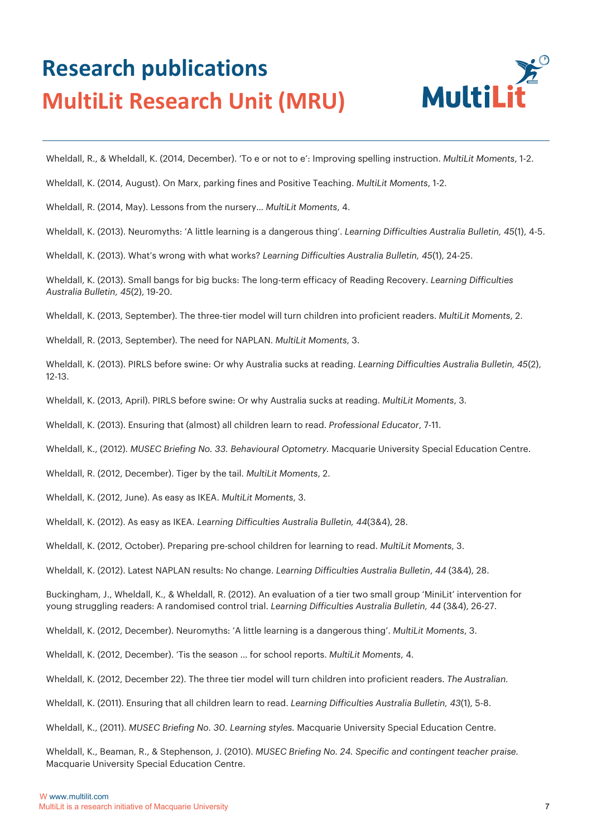

Wheldall, R., & Wheldall, K. (2014, December). 'To e or not to e': Improving spelling instruction. *MultiLit Moments*, 1-2.

Wheldall, K. (2014, August). On Marx, parking fines and Positive Teaching. *MultiLit Moments*, 1-2.

Wheldall, R. (2014, May). Lessons from the nursery… *MultiLit Moments*, 4.

Wheldall, K. (2013). Neuromyths: 'A little learning is a dangerous thing'. *Learning Difficulties Australia Bulletin, 45*(1), 4-5.

Wheldall, K. (2013). What's wrong with what works? *Learning Difficulties Australia Bulletin, 45*(1), 24-25.

Wheldall, K. (2013). Small bangs for big bucks: The long-term efficacy of Reading Recovery. *Learning Difficulties Australia Bulletin, 45*(2), 19-20.

Wheldall, K. (2013, September). The three-tier model will turn children into proficient readers. *MultiLit Moments*, 2.

Wheldall, R. (2013, September). The need for NAPLAN. *MultiLit Moments*, 3.

Wheldall, K. (2013). PIRLS before swine: Or why Australia sucks at reading. *Learning Difficulties Australia Bulletin, 45*(2), 12-13.

Wheldall, K. (2013, April). PIRLS before swine: Or why Australia sucks at reading. *MultiLit Moments*, 3.

Wheldall, K. (2013). Ensuring that (almost) all children learn to read. *Professional Educator*, 7-11.

Wheldall, K., (2012). *MUSEC Briefing No. 33. Behavioural Optometry.* Macquarie University Special Education Centre.

Wheldall, R. (2012, December). Tiger by the tail. *MultiLit Moments*, 2.

Wheldall, K. (2012, June). As easy as IKEA. *MultiLit Moments*, 3.

Wheldall, K. (2012). As easy as IKEA. *Learning Difficulties Australia Bulletin, 44*(3&4), 28.

Wheldall, K. (2012, October). Preparing pre-school children for learning to read. *MultiLit Moments*, 3.

Wheldall, K. (2012). Latest NAPLAN results: No change. *Learning Difficulties Australia Bulletin*, *44* (3&4), 28.

Buckingham, J., Wheldall, K., & Wheldall, R. (2012). An evaluation of a tier two small group 'MiniLit' intervention for young struggling readers: A randomised control trial. *Learning Difficulties Australia Bulletin, 44* (3&4), 26-27.

Wheldall, K. (2012, December). Neuromyths: 'A little learning is a dangerous thing'. *MultiLit Moments*, 3.

Wheldall, K. (2012, December). 'Tis the season … for school reports. *MultiLit Moments*, 4.

Wheldall, K. (2012, December 22). The three tier model will turn children into proficient readers. *The Australian.*

Wheldall, K. (2011). Ensuring that all children learn to read. *Learning Difficulties Australia Bulletin, 43*(1), 5-8.

Wheldall, K., (2011). *MUSEC Briefing No. 30. Learning styles.* Macquarie University Special Education Centre.

Wheldall, K., Beaman, R., & Stephenson, J. (2010). *MUSEC Briefing No. 24. Specific and contingent teacher praise.* Macquarie University Special Education Centre.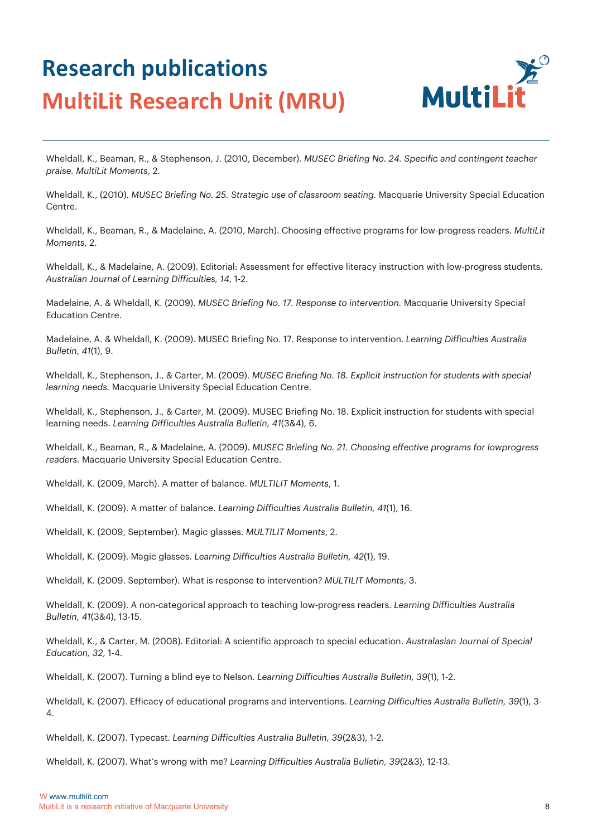

Wheldall, K., Beaman, R., & Stephenson, J. (2010, December). *MUSEC Briefing No. 24. Specific and contingent teacher praise. MultiLit Moments*, 2.

Wheldall, K., (2010). *MUSEC Briefing No. 25. Strategic use of classroom seating.* Macquarie University Special Education Centre.

Wheldall, K., Beaman, R., & Madelaine, A. (2010, March). Choosing effective programs for low-progress readers. *MultiLit Moments*, 2.

Wheldall, K., & Madelaine, A. (2009). Editorial: Assessment for effective literacy instruction with low-progress students. *Australian Journal of Learning Difficulties, 14*, 1-2.

Madelaine, A. & Wheldall, K. (2009). *MUSEC Briefing No. 17. Response to intervention.* Macquarie University Special Education Centre.

Madelaine, A. & Wheldall, K. (2009). MUSEC Briefing No. 17. Response to intervention. *Learning Difficulties Australia Bulletin, 41*(1), 9.

Wheldall, K., Stephenson, J., & Carter, M. (2009). *MUSEC Briefing No. 18. Explicit instruction for students with special learning needs.* Macquarie University Special Education Centre.

Wheldall, K., Stephenson, J., & Carter, M. (2009). MUSEC Briefing No. 18. Explicit instruction for students with special learning needs. *Learning Difficulties Australia Bulletin, 41*(3&4), 6.

Wheldall, K., Beaman, R., & Madelaine, A. (2009). *MUSEC Briefing No. 21. Choosing effective programs for lowprogress readers.* Macquarie University Special Education Centre.

Wheldall, K. (2009, March). A matter of balance. *MULTILIT Moments*, 1.

Wheldall, K. (2009). A matter of balance. *Learning Difficulties Australia Bulletin, 41*(1), 16.

Wheldall, K. (2009, September). Magic glasses. *MULTILIT Moments*, 2.

Wheldall, K. (2009). Magic glasses. *Learning Difficulties Australia Bulletin, 42*(1), 19.

Wheldall, K. (2009. September). What is response to intervention? *MULTILIT Moments*, 3.

Wheldall, K. (2009). A non-categorical approach to teaching low-progress readers. *Learning Difficulties Australia Bulletin, 41*(3&4), 13-15.

Wheldall, K., & Carter, M. (2008). Editorial: A scientific approach to special education. *Australasian Journal of Special Education, 32*, 1-4.

Wheldall, K. (2007). Turning a blind eye to Nelson. *Learning Difficulties Australia Bulletin, 39*(1), 1-2.

Wheldall, K. (2007). Efficacy of educational programs and interventions. *Learning Difficulties Australia Bulletin, 39*(1), 3- 4.

Wheldall, K. (2007). Typecast. *Learning Difficulties Australia Bulletin, 39*(2&3), 1-2.

Wheldall, K. (2007). What's wrong with me? *Learning Difficulties Australia Bulletin, 39*(2&3), 12-13.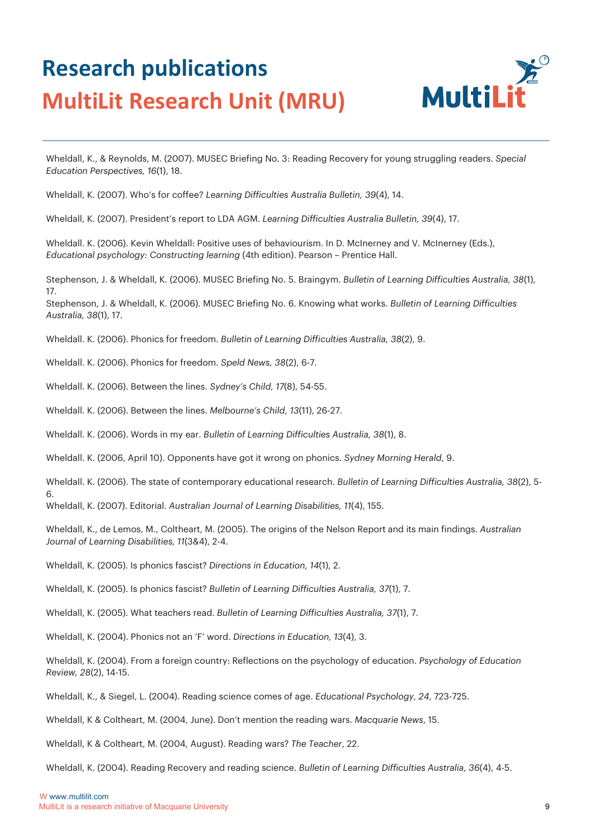

Wheldall, K., & Reynolds, M. (2007). MUSEC Briefing No. 3: Reading Recovery for young struggling readers. *Special Education Perspectives, 16*(1), 18.

Wheldall, K. (2007). Who's for coffee? *Learning Difficulties Australia Bulletin, 39*(4), 14.

Wheldall, K. (2007). President's report to LDA AGM. *Learning Difficulties Australia Bulletin, 39*(4), 17.

Wheldall. K. (2006). Kevin Wheldall: Positive uses of behaviourism. In D. McInerney and V. McInerney (Eds.), *Educational psychology: Constructing learning* (4th edition). Pearson – Prentice Hall.

Stephenson, J. & Wheldall, K. (2006). MUSEC Briefing No. 5. Braingym. *Bulletin of Learning Difficulties Australia, 38*(1), 17.

Stephenson, J. & Wheldall, K. (2006). MUSEC Briefing No. 6. Knowing what works. *Bulletin of Learning Difficulties Australia, 38*(1), 17.

Wheldall. K. (2006). Phonics for freedom. *Bulletin of Learning Difficulties Australia, 38*(2), 9.

Wheldall. K. (2006). Phonics for freedom. *Speld News, 38*(2), 6-7.

Wheldall. K. (2006). Between the lines. *Sydney's Child, 17*(8), 54-55.

Wheldall. K. (2006). Between the lines. *Melbourne's Child, 13*(11), 26-27.

Wheldall. K. (2006). Words in my ear. *Bulletin of Learning Difficulties Australia, 38*(1), 8.

Wheldall. K. (2006, April 10). Opponents have got it wrong on phonics. *Sydney Morning Herald*, 9.

Wheldall. K. (2006). The state of contemporary educational research. *Bulletin of Learning Difficulties Australia, 38*(2), 5- 6.

Wheldall, K. (2007). Editorial. *Australian Journal of Learning Disabilities, 11*(4), 155.

Wheldall, K., de Lemos, M., Coltheart, M. (2005). The origins of the Nelson Report and its main findings. *Australian Journal of Learning Disabilities, 11*(3&4), 2-4.

Wheldall, K. (2005). Is phonics fascist? *Directions in Education, 14*(1), 2.

Wheldall, K. (2005). Is phonics fascist? *Bulletin of Learning Difficulties Australia, 37*(1), 7.

Wheldall, K. (2005). What teachers read. *Bulletin of Learning Difficulties Australia, 37*(1), 7.

Wheldall, K. (2004). Phonics not an 'F' word. *Directions in Education, 13*(4), 3.

Wheldall, K. (2004). From a foreign country: Reflections on the psychology of education. *Psychology of Education Review, 28*(2), 14-15.

Wheldall, K., & Siegel, L. (2004). Reading science comes of age. *Educational Psychology, 24*, 723-725.

Wheldall, K & Coltheart, M. (2004, June). Don't mention the reading wars. *Macquarie News*, 15.

Wheldall, K & Coltheart, M. (2004, August). Reading wars? *The Teacher*, 22.

Wheldall, K. (2004). Reading Recovery and reading science. *Bulletin of Learning Difficulties Australia, 36*(4), 4-5.